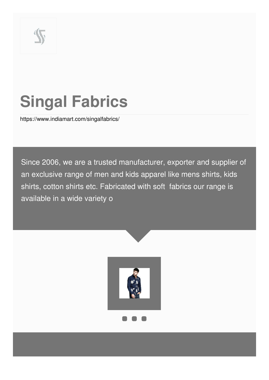

# **Singal Fabrics**

<https://www.indiamart.com/singalfabrics/>

Since 2006, we are a trusted manufacturer, exporter and supplier of an exclusive range of men and kids apparel like mens shirts, kids shirts, cotton shirts etc. Fabricated with soft fabrics our range is available in a wide variety o

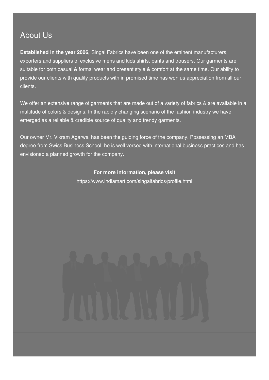### About Us

**Established in the year 2006,** Singal Fabrics have been one of the eminent manufacturers, exporters and suppliers of exclusive mens and kids shirts, pants and trousers. Our garments are suitable for both casual & formal wear and present style & comfort at the same time. Our ability to provide our clients with quality products with in promised time has won us appreciation from all our clients.

We offer an extensive range of garments that are made out of a variety of fabrics & are available in a multitude of colors & designs. In the rapidly changing scenario of the fashion industry we have emerged as a reliable & credible source of quality and trendy garments.

Our owner Mr. Vikram Agarwal has been the guiding force of the company. Possessing an MBA degree from Swiss Business School, he is well versed with international business practices and has envisioned a planned growth for the company.

### **For more information, please visit**

<https://www.indiamart.com/singalfabrics/profile.html>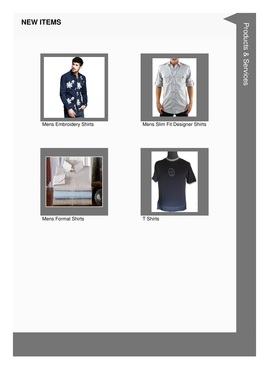### **NEW ITEMS**



Mens Embroidery Shirts



Mens Slim Fit Designer Shirts



Mens Formal Shirts



T Shirts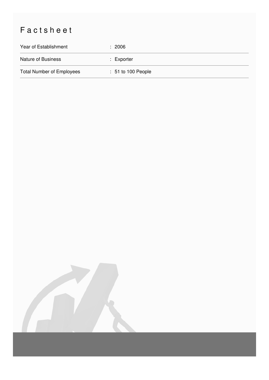## Factsheet

| Year of Establishment            | : 2006               |
|----------------------------------|----------------------|
| <b>Nature of Business</b>        | $:$ Exporter         |
| <b>Total Number of Employees</b> | $: 51$ to 100 People |